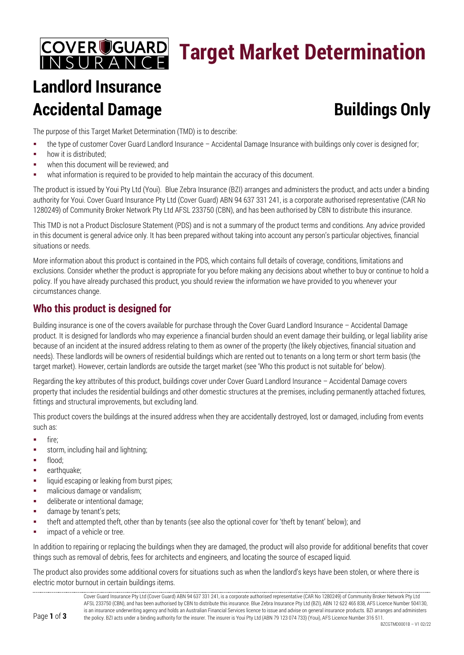## **COVER COUARD**<br>INSURANCE **Target Market Determination**

# **Landlord Insurance Accidental Damage Buildings Only**

The purpose of this Target Market Determination (TMD) is to describe:

- the type of customer Cover Guard Landlord Insurance Accidental Damage Insurance with buildings only cover is designed for;
- **•** how it is distributed:
- **•** when this document will be reviewed; and
- what information is required to be provided to help maintain the accuracy of this document.

The product is issued by Youi Pty Ltd (Youi). Blue Zebra Insurance (BZI) arranges and administers the product, and acts under a binding authority for Youi. Cover Guard Insurance Pty Ltd (Cover Guard) ABN 94 637 331 241, is a corporate authorised representative (CAR No 1280249) of Community Broker Network Pty Ltd AFSL 233750 (CBN), and has been authorised by CBN to distribute this insurance.

This TMD is not a Product Disclosure Statement (PDS) and is not a summary of the product terms and conditions. Any advice provided in this document is general advice only. It has been prepared without taking into account any person's particular objectives, financial situations or needs.

More information about this product is contained in the PDS, which contains full details of coverage, conditions, limitations and exclusions. Consider whether the product is appropriate for you before making any decisions about whether to buy or continue to hold a policy. If you have already purchased this product, you should review the information we have provided to you whenever your circumstances change.

#### **Who this product is designed for**

Building insurance is one of the covers available for purchase through the Cover Guard Landlord Insurance – Accidental Damage product. It is designed for landlords who may experience a financial burden should an event damage their building, or legal liability arise because of an incident at the insured address relating to them as owner of the property (the likely objectives, financial situation and needs). These landlords will be owners of residential buildings which are rented out to tenants on a long term or short term basis (the target market). However, certain landlords are outside the target market (see 'Who this product is not suitable for' below).

Regarding the key attributes of this product, buildings cover under Cover Guard Landlord Insurance – Accidental Damage covers property that includes the residential buildings and other domestic structures at the premises, including permanently attached fixtures, fittings and structural improvements, but excluding land.

This product covers the buildings at the insured address when they are accidentally destroyed, lost or damaged, including from events such as:

- $\blacksquare$  fire;
- **storm**, including hail and lightning;
- **flood**:
- **earthquake**;
- liquid escaping or leaking from burst pipes;
- **malicious damage or vandalism;**
- **deliberate or intentional damage;**
- **damage by tenant's pets;**
- theft and attempted theft, other than by tenants (see also the optional cover for 'theft by tenant' below); and
- **impact of a vehicle or tree.**

In addition to repairing or replacing the buildings when they are damaged, the product will also provide for additional benefits that cover things such as removal of debris, fees for architects and engineers, and locating the source of escaped liquid.

The product also provides some additional covers for situations such as when the landlord's keys have been stolen, or where there is electric motor burnout in certain buildings items.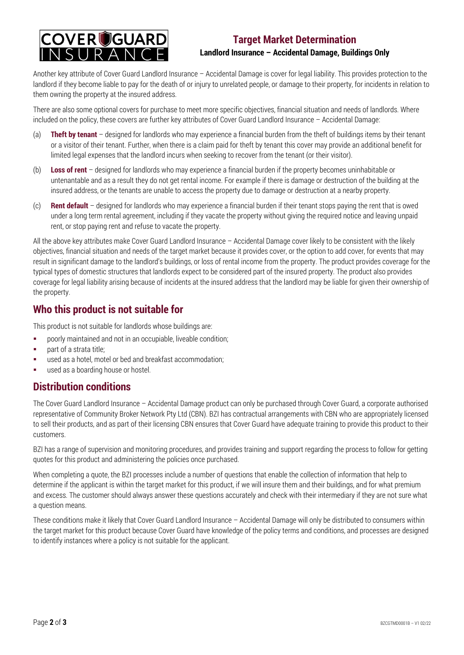

#### **Target Market Determination Landlord Insurance – Accidental Damage, Buildings Only**

Another key attribute of Cover Guard Landlord Insurance – Accidental Damage is cover for legal liability. This provides protection to the landlord if they become liable to pay for the death of or injury to unrelated people, or damage to their property, for incidents in relation to them owning the property at the insured address.

There are also some optional covers for purchase to meet more specific objectives, financial situation and needs of landlords. Where included on the policy, these covers are further key attributes of Cover Guard Landlord Insurance – Accidental Damage:

- (a) **Theft by tenant** designed for landlords who may experience a financial burden from the theft of buildings items by their tenant or a visitor of their tenant. Further, when there is a claim paid for theft by tenant this cover may provide an additional benefit for limited legal expenses that the landlord incurs when seeking to recover from the tenant (or their visitor).
- (b) **Loss of rent** designed for landlords who may experience a financial burden if the property becomes uninhabitable or untenantable and as a result they do not get rental income. For example if there is damage or destruction of the building at the insured address, or the tenants are unable to access the property due to damage or destruction at a nearby property.
- (c) **Rent default** designed for landlords who may experience a financial burden if their tenant stops paying the rent that is owed under a long term rental agreement, including if they vacate the property without giving the required notice and leaving unpaid rent, or stop paying rent and refuse to vacate the property.

All the above key attributes make Cover Guard Landlord Insurance – Accidental Damage cover likely to be consistent with the likely objectives, financial situation and needs of the target market because it provides cover, or the option to add cover, for events that may result in significant damage to the landlord's buildings, or loss of rental income from the property. The product provides coverage for the typical types of domestic structures that landlords expect to be considered part of the insured property. The product also provides coverage for legal liability arising because of incidents at the insured address that the landlord may be liable for given their ownership of the property.

#### **Who this product is not suitable for**

This product is not suitable for landlords whose buildings are:

- poorly maintained and not in an occupiable, liveable condition;
- $\blacksquare$  part of a strata title;
- used as a hotel, motel or bed and breakfast accommodation;
- **used as a boarding house or hostel.**

#### **Distribution conditions**

The Cover Guard Landlord Insurance – Accidental Damage product can only be purchased through Cover Guard, a corporate authorised representative of Community Broker Network Pty Ltd (CBN). BZI has contractual arrangements with CBN who are appropriately licensed to sell their products, and as part of their licensing CBN ensures that Cover Guard have adequate training to provide this product to their customers.

BZI has a range of supervision and monitoring procedures, and provides training and support regarding the process to follow for getting quotes for this product and administering the policies once purchased.

When completing a quote, the BZI processes include a number of questions that enable the collection of information that help to determine if the applicant is within the target market for this product, if we will insure them and their buildings, and for what premium and excess. The customer should always answer these questions accurately and check with their intermediary if they are not sure what a question means.

These conditions make it likely that Cover Guard Landlord Insurance – Accidental Damage will only be distributed to consumers within the target market for this product because Cover Guard have knowledge of the policy terms and conditions, and processes are designed to identify instances where a policy is not suitable for the applicant.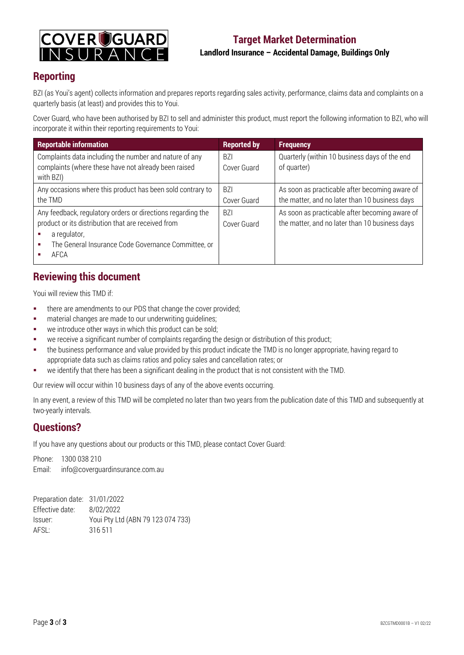

#### **Reporting**

BZI (as Youi's agent) collects information and prepares reports regarding sales activity, performance, claims data and complaints on a quarterly basis (at least) and provides this to Youi.

Cover Guard, who have been authorised by BZI to sell and administer this product, must report the following information to BZI, who will incorporate it within their reporting requirements to Youi:

| <b>Reportable information</b>                                                                                                                                                                    | <b>Reported by</b>        | <b>Frequency</b>                                                                                 |
|--------------------------------------------------------------------------------------------------------------------------------------------------------------------------------------------------|---------------------------|--------------------------------------------------------------------------------------------------|
| Complaints data including the number and nature of any<br>complaints (where these have not already been raised<br>with BZI)                                                                      | BZI<br>Cover Guard        | Quarterly (within 10 business days of the end<br>of quarter)                                     |
| Any occasions where this product has been sold contrary to<br>the TMD                                                                                                                            | <b>BZI</b><br>Cover Guard | As soon as practicable after becoming aware of<br>the matter, and no later than 10 business days |
| Any feedback, regulatory orders or directions regarding the<br>product or its distribution that are received from<br>a regulator,<br>The General Insurance Code Governance Committee, or<br>AFCA | BZI<br>Cover Guard        | As soon as practicable after becoming aware of<br>the matter, and no later than 10 business days |

#### **Reviewing this document**

Youi will review this TMD if:

- **there are amendments to our PDS that change the cover provided;**
- material changes are made to our underwriting guidelines;
- **we introduce other ways in which this product can be sold;**
- we receive a significant number of complaints regarding the design or distribution of this product;
- the business performance and value provided by this product indicate the TMD is no longer appropriate, having regard to appropriate data such as claims ratios and policy sales and cancellation rates; or
- we identify that there has been a significant dealing in the product that is not consistent with the TMD.

Our review will occur within 10 business days of any of the above events occurring.

In any event, a review of this TMD will be completed no later than two years from the publication date of this TMD and subsequently at two-yearly intervals.

#### **Questions?**

If you have any questions about our products or this TMD, please contact Cover Guard:

Phone: 1300 038 210 Email: info@coverguardinsurance.com.au

| Preparation date: 31/01/2022 |                                   |
|------------------------------|-----------------------------------|
| Effective date:              | 8/02/2022                         |
| Issuer:                      | Youi Pty Ltd (ABN 79 123 074 733) |
| AFSL:                        | 316 511                           |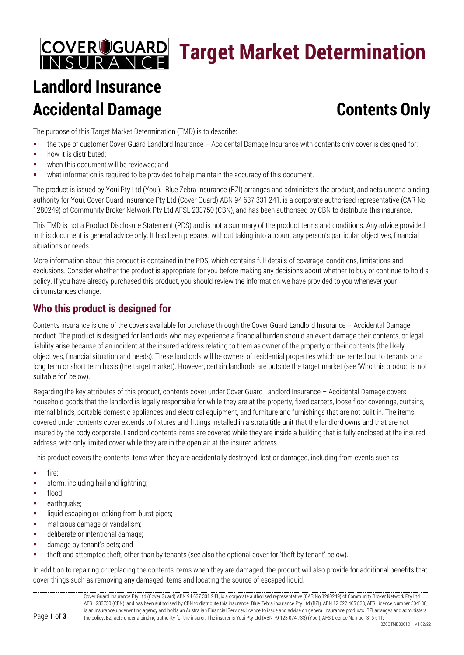## COVEROGUARD **Target Market Determination**

# **Landlord Insurance Accidental Damage Contents Only**

The purpose of this Target Market Determination (TMD) is to describe:

- the type of customer Cover Guard Landlord Insurance Accidental Damage Insurance with contents only cover is designed for;
- **how it is distributed:**
- **•** when this document will be reviewed; and
- what information is required to be provided to help maintain the accuracy of this document.

The product is issued by Youi Pty Ltd (Youi). Blue Zebra Insurance (BZI) arranges and administers the product, and acts under a binding authority for Youi. Cover Guard Insurance Pty Ltd (Cover Guard) ABN 94 637 331 241, is a corporate authorised representative (CAR No 1280249) of Community Broker Network Pty Ltd AFSL 233750 (CBN), and has been authorised by CBN to distribute this insurance.

This TMD is not a Product Disclosure Statement (PDS) and is not a summary of the product terms and conditions. Any advice provided in this document is general advice only. It has been prepared without taking into account any person's particular objectives, financial situations or needs.

More information about this product is contained in the PDS, which contains full details of coverage, conditions, limitations and exclusions. Consider whether the product is appropriate for you before making any decisions about whether to buy or continue to hold a policy. If you have already purchased this product, you should review the information we have provided to you whenever your circumstances change.

#### **Who this product is designed for**

Contents insurance is one of the covers available for purchase through the Cover Guard Landlord Insurance – Accidental Damage product. The product is designed for landlords who may experience a financial burden should an event damage their contents, or legal liability arise because of an incident at the insured address relating to them as owner of the property or their contents (the likely objectives, financial situation and needs). These landlords will be owners of residential properties which are rented out to tenants on a long term or short term basis (the target market). However, certain landlords are outside the target market (see 'Who this product is not suitable for' below).

Regarding the key attributes of this product, contents cover under Cover Guard Landlord Insurance – Accidental Damage covers household goods that the landlord is legally responsible for while they are at the property, fixed carpets, loose floor coverings, curtains, internal blinds, portable domestic appliances and electrical equipment, and furniture and furnishings that are not built in. The items covered under contents cover extends to fixtures and fittings installed in a strata title unit that the landlord owns and that are not insured by the body corporate. Landlord contents items are covered while they are inside a building that is fully enclosed at the insured address, with only limited cover while they are in the open air at the insured address.

This product covers the contents items when they are accidentally destroyed, lost or damaged, including from events such as:

- $fire$ :
- **storm**, including hail and lightning;
- **flood**:
- **earthquake**;
- **I.** liquid escaping or leaking from burst pipes;
- **nalicious damage or vandalism;**
- **deliberate or intentional damage;**
- **damage by tenant's pets; and**
- theft and attempted theft, other than by tenants (see also the optional cover for 'theft by tenant' below).

In addition to repairing or replacing the contents items when they are damaged, the product will also provide for additional benefits that cover things such as removing any damaged items and locating the source of escaped liquid.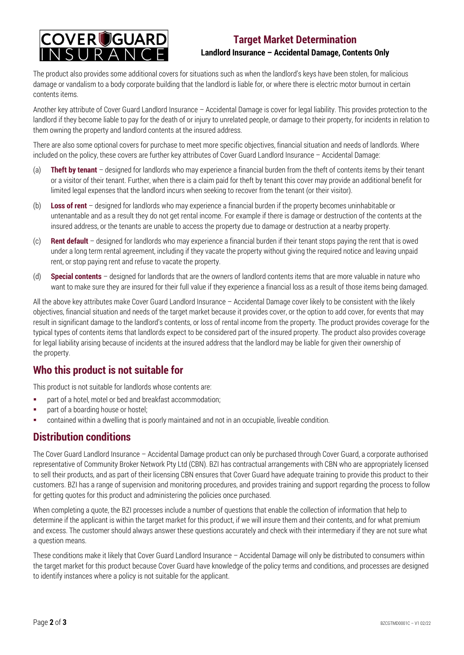

#### **Target Market Determination Landlord Insurance – Accidental Damage, Contents Only**

The product also provides some additional covers for situations such as when the landlord's keys have been stolen, for malicious damage or vandalism to a body corporate building that the landlord is liable for, or where there is electric motor burnout in certain contents items.

Another key attribute of Cover Guard Landlord Insurance – Accidental Damage is cover for legal liability. This provides protection to the landlord if they become liable to pay for the death of or injury to unrelated people, or damage to their property, for incidents in relation to them owning the property and landlord contents at the insured address.

There are also some optional covers for purchase to meet more specific objectives, financial situation and needs of landlords. Where included on the policy, these covers are further key attributes of Cover Guard Landlord Insurance – Accidental Damage:

- (a) **Theft by tenant** designed for landlords who may experience a financial burden from the theft of contents items by their tenant or a visitor of their tenant. Further, when there is a claim paid for theft by tenant this cover may provide an additional benefit for limited legal expenses that the landlord incurs when seeking to recover from the tenant (or their visitor).
- (b) **Loss of rent** designed for landlords who may experience a financial burden if the property becomes uninhabitable or untenantable and as a result they do not get rental income. For example if there is damage or destruction of the contents at the insured address, or the tenants are unable to access the property due to damage or destruction at a nearby property.
- (c) **Rent default** designed for landlords who may experience a financial burden if their tenant stops paying the rent that is owed under a long term rental agreement, including if they vacate the property without giving the required notice and leaving unpaid rent, or stop paying rent and refuse to vacate the property.
- (d) **Special contents** designed for landlords that are the owners of landlord contents items that are more valuable in nature who want to make sure they are insured for their full value if they experience a financial loss as a result of those items being damaged.

All the above key attributes make Cover Guard Landlord Insurance – Accidental Damage cover likely to be consistent with the likely objectives, financial situation and needs of the target market because it provides cover, or the option to add cover, for events that may result in significant damage to the landlord's contents, or loss of rental income from the property. The product provides coverage for the typical types of contents items that landlords expect to be considered part of the insured property. The product also provides coverage for legal liability arising because of incidents at the insured address that the landlord may be liable for given their ownership of the property.

#### **Who this product is not suitable for**

This product is not suitable for landlords whose contents are:

- part of a hotel, motel or bed and breakfast accommodation;
- **•** part of a boarding house or hostel;
- contained within a dwelling that is poorly maintained and not in an occupiable, liveable condition.

#### **Distribution conditions**

The Cover Guard Landlord Insurance – Accidental Damage product can only be purchased through Cover Guard, a corporate authorised representative of Community Broker Network Pty Ltd (CBN). BZI has contractual arrangements with CBN who are appropriately licensed to sell their products, and as part of their licensing CBN ensures that Cover Guard have adequate training to provide this product to their customers. BZI has a range of supervision and monitoring procedures, and provides training and support regarding the process to follow for getting quotes for this product and administering the policies once purchased.

When completing a quote, the BZI processes include a number of questions that enable the collection of information that help to determine if the applicant is within the target market for this product, if we will insure them and their contents, and for what premium and excess. The customer should always answer these questions accurately and check with their intermediary if they are not sure what a question means.

These conditions make it likely that Cover Guard Landlord Insurance – Accidental Damage will only be distributed to consumers within the target market for this product because Cover Guard have knowledge of the policy terms and conditions, and processes are designed to identify instances where a policy is not suitable for the applicant.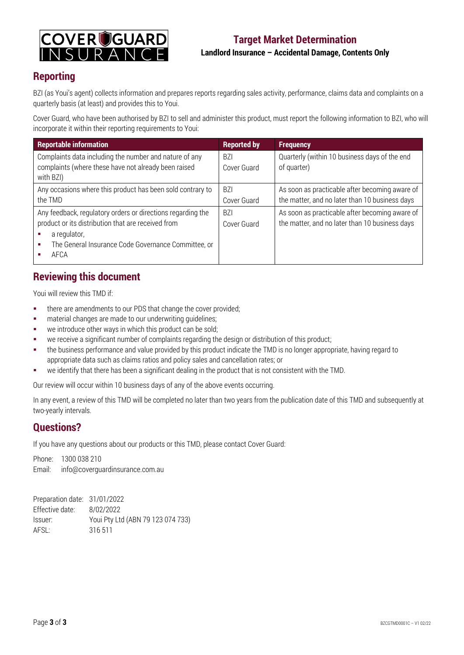

#### **Reporting**

BZI (as Youi's agent) collects information and prepares reports regarding sales activity, performance, claims data and complaints on a quarterly basis (at least) and provides this to Youi.

Cover Guard, who have been authorised by BZI to sell and administer this product, must report the following information to BZI, who will incorporate it within their reporting requirements to Youi:

| <b>Reportable information</b>                                                                                                                                                                    | <b>Reported by</b>            | <b>Frequency</b>                                                                                 |
|--------------------------------------------------------------------------------------------------------------------------------------------------------------------------------------------------|-------------------------------|--------------------------------------------------------------------------------------------------|
| Complaints data including the number and nature of any<br>complaints (where these have not already been raised<br>with BZI)                                                                      | <b>BZI</b><br>Cover Guard     | Quarterly (within 10 business days of the end<br>of quarter)                                     |
| Any occasions where this product has been sold contrary to<br>the TMD                                                                                                                            | <b>BZI</b><br>Cover Guard     | As soon as practicable after becoming aware of<br>the matter, and no later than 10 business days |
| Any feedback, regulatory orders or directions regarding the<br>product or its distribution that are received from<br>a regulator,<br>The General Insurance Code Governance Committee, or<br>AFCA | B <sub>7</sub><br>Cover Guard | As soon as practicable after becoming aware of<br>the matter, and no later than 10 business days |

#### **Reviewing this document**

Youi will review this TMD if:

- **there are amendments to our PDS that change the cover provided;**
- material changes are made to our underwriting guidelines;
- **we introduce other ways in which this product can be sold;**
- we receive a significant number of complaints regarding the design or distribution of this product;
- the business performance and value provided by this product indicate the TMD is no longer appropriate, having regard to appropriate data such as claims ratios and policy sales and cancellation rates; or
- we identify that there has been a significant dealing in the product that is not consistent with the TMD.

Our review will occur within 10 business days of any of the above events occurring.

In any event, a review of this TMD will be completed no later than two years from the publication date of this TMD and subsequently at two-yearly intervals.

#### **Questions?**

If you have any questions about our products or this TMD, please contact Cover Guard:

Phone: 1300 038 210 Email: info@coverguardinsurance.com.au

| Preparation date: 31/01/2022 |                                   |
|------------------------------|-----------------------------------|
| Effective date:              | 8/02/2022                         |
| Issuer:                      | Youi Pty Ltd (ABN 79 123 074 733) |
| AFSL:                        | 316 511                           |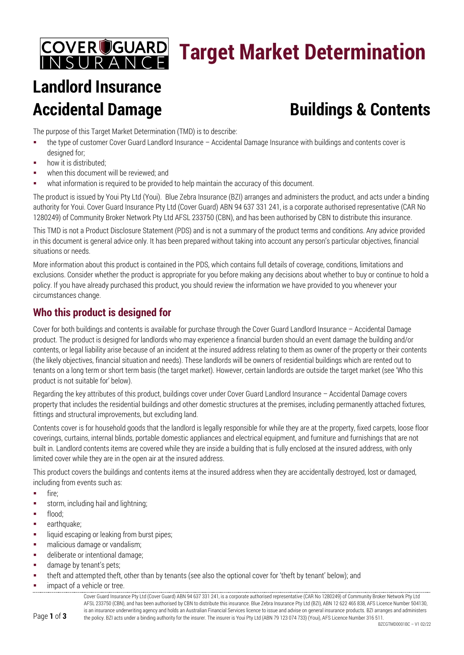## **COVER COUARD**<br>INSURANCE **Target Market Determination**

# **Landlord Insurance**

# **Accidental Damage Buildings & Contents**

The purpose of this Target Market Determination (TMD) is to describe:

- the type of customer Cover Guard Landlord Insurance Accidental Damage Insurance with buildings and contents cover is designed for;
- **•** how it is distributed;
- **•** when this document will be reviewed; and
- what information is required to be provided to help maintain the accuracy of this document.

The product is issued by Youi Pty Ltd (Youi). Blue Zebra Insurance (BZI) arranges and administers the product, and acts under a binding authority for Youi. Cover Guard Insurance Pty Ltd (Cover Guard) ABN 94 637 331 241, is a corporate authorised representative (CAR No 1280249) of Community Broker Network Pty Ltd AFSL 233750 (CBN), and has been authorised by CBN to distribute this insurance.

This TMD is not a Product Disclosure Statement (PDS) and is not a summary of the product terms and conditions. Any advice provided in this document is general advice only. It has been prepared without taking into account any person's particular objectives, financial situations or needs.

More information about this product is contained in the PDS, which contains full details of coverage, conditions, limitations and exclusions. Consider whether the product is appropriate for you before making any decisions about whether to buy or continue to hold a policy. If you have already purchased this product, you should review the information we have provided to you whenever your circumstances change.

### **Who this product is designed for**

Cover for both buildings and contents is available for purchase through the Cover Guard Landlord Insurance – Accidental Damage product. The product is designed for landlords who may experience a financial burden should an event damage the building and/or contents, or legal liability arise because of an incident at the insured address relating to them as owner of the property or their contents (the likely objectives, financial situation and needs). These landlords will be owners of residential buildings which are rented out to tenants on a long term or short term basis (the target market). However, certain landlords are outside the target market (see 'Who this product is not suitable for' below).

Regarding the key attributes of this product, buildings cover under Cover Guard Landlord Insurance – Accidental Damage covers property that includes the residential buildings and other domestic structures at the premises, including permanently attached fixtures, fittings and structural improvements, but excluding land.

Contents cover is for household goods that the landlord is legally responsible for while they are at the property, fixed carpets, loose floor coverings, curtains, internal blinds, portable domestic appliances and electrical equipment, and furniture and furnishings that are not built in. Landlord contents items are covered while they are inside a building that is fully enclosed at the insured address, with only limited cover while they are in the open air at the insured address.

This product covers the buildings and contents items at the insured address when they are accidentally destroyed, lost or damaged, including from events such as:

- **fire**;
- **storm, including hail and lightning;**
- **flood**;
- **earthquake**;
- **Iliquid escaping or leaking from burst pipes;**
- **•** malicious damage or vandalism;
- deliberate or intentional damage;
- **damage by tenant's pets;**
- theft and attempted theft, other than by tenants (see also the optional cover for 'theft by tenant' below); and
- impact of a vehicle or tree.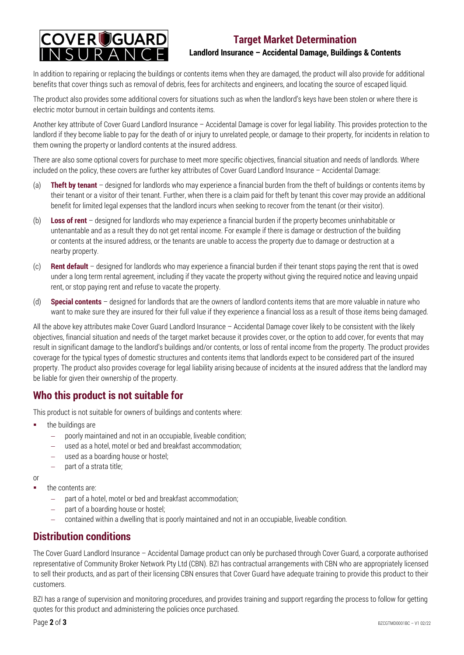

#### **Target Market Determination Landlord Insurance – Accidental Damage, Buildings & Contents**

In addition to repairing or replacing the buildings or contents items when they are damaged, the product will also provide for additional benefits that cover things such as removal of debris, fees for architects and engineers, and locating the source of escaped liquid.

The product also provides some additional covers for situations such as when the landlord's keys have been stolen or where there is electric motor burnout in certain buildings and contents items.

Another key attribute of Cover Guard Landlord Insurance – Accidental Damage is cover for legal liability. This provides protection to the landlord if they become liable to pay for the death of or injury to unrelated people, or damage to their property, for incidents in relation to them owning the property or landlord contents at the insured address.

There are also some optional covers for purchase to meet more specific objectives, financial situation and needs of landlords. Where included on the policy, these covers are further key attributes of Cover Guard Landlord Insurance – Accidental Damage:

- (a) **Theft by tenant** designed for landlords who may experience a financial burden from the theft of buildings or contents items by their tenant or a visitor of their tenant. Further, when there is a claim paid for theft by tenant this cover may provide an additional benefit for limited legal expenses that the landlord incurs when seeking to recover from the tenant (or their visitor).
- (b) **Loss of rent** designed for landlords who may experience a financial burden if the property becomes uninhabitable or untenantable and as a result they do not get rental income. For example if there is damage or destruction of the building or contents at the insured address, or the tenants are unable to access the property due to damage or destruction at a nearby property.
- (c) **Rent default** designed for landlords who may experience a financial burden if their tenant stops paying the rent that is owed under a long term rental agreement, including if they vacate the property without giving the required notice and leaving unpaid rent, or stop paying rent and refuse to vacate the property.
- (d) **Special contents** designed for landlords that are the owners of landlord contents items that are more valuable in nature who want to make sure they are insured for their full value if they experience a financial loss as a result of those items being damaged.

All the above key attributes make Cover Guard Landlord Insurance – Accidental Damage cover likely to be consistent with the likely objectives, financial situation and needs of the target market because it provides cover, or the option to add cover, for events that may result in significant damage to the landlord's buildings and/or contents, or loss of rental income from the property. The product provides coverage for the typical types of domestic structures and contents items that landlords expect to be considered part of the insured property. The product also provides coverage for legal liability arising because of incidents at the insured address that the landlord may be liable for given their ownership of the property.

## **Who this product is not suitable for**

This product is not suitable for owners of buildings and contents where:

- **the buildings are** 
	- poorly maintained and not in an occupiable, liveable condition;
	- used as a hotel, motel or bed and breakfast accommodation;
	- − used as a boarding house or hostel;
	- part of a strata title;
- or

the contents are:

- − part of a hotel, motel or bed and breakfast accommodation;
- part of a boarding house or hostel;
- − contained within a dwelling that is poorly maintained and not in an occupiable, liveable condition.

#### **Distribution conditions**

The Cover Guard Landlord Insurance – Accidental Damage product can only be purchased through Cover Guard, a corporate authorised representative of Community Broker Network Pty Ltd (CBN). BZI has contractual arrangements with CBN who are appropriately licensed to sell their products, and as part of their licensing CBN ensures that Cover Guard have adequate training to provide this product to their customers.

BZI has a range of supervision and monitoring procedures, and provides training and support regarding the process to follow for getting quotes for this product and administering the policies once purchased.